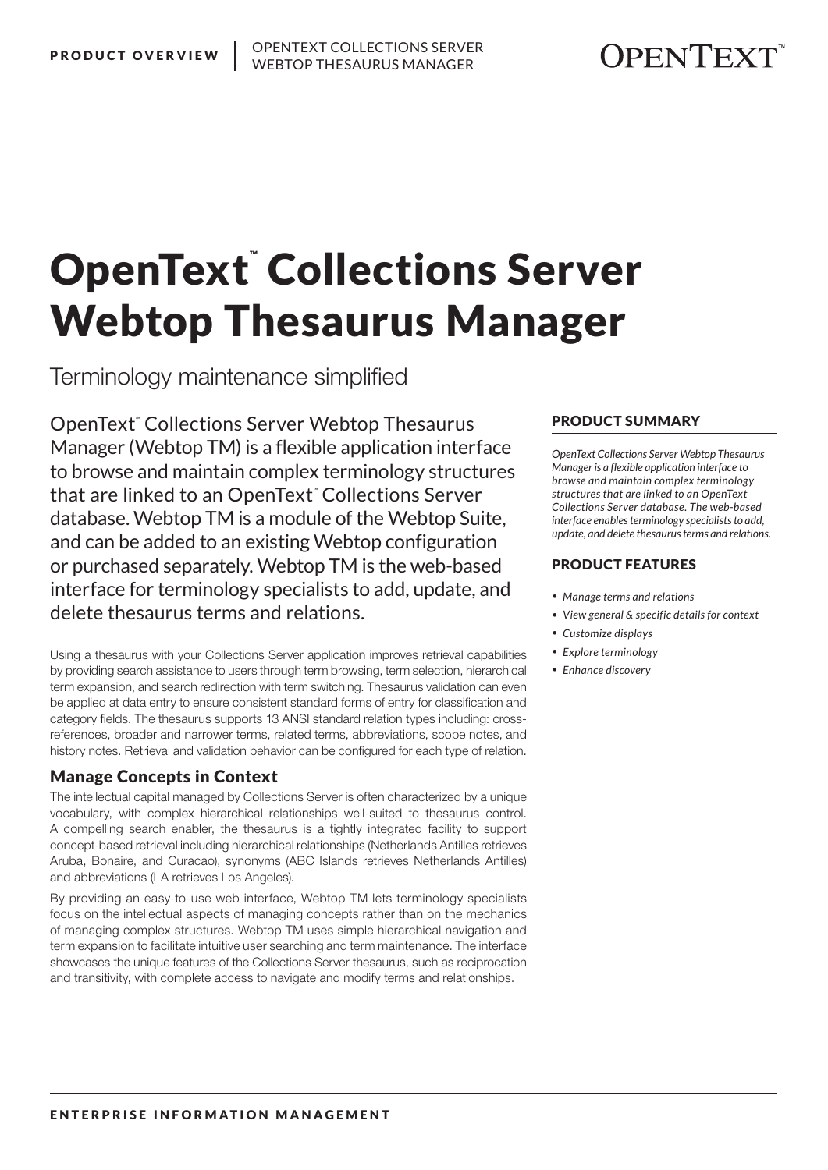# **JPENTEXT**

# OpenText™Collections Server Webtop Thesaurus Manager

Terminology maintenance simplified

OpenText*™* Collections Server Webtop Thesaurus Manager (Webtop TM) is a flexible application interface to browse and maintain complex terminology structures that are linked to an OpenText*™* Collections Server database. Webtop TM is a module of the Webtop Suite, and can be added to an existing Webtop configuration or purchased separately. Webtop TM is the web-based interface for terminology specialists to add, update, and delete thesaurus terms and relations.

Using a thesaurus with your Collections Server application improves retrieval capabilities by providing search assistance to users through term browsing, term selection, hierarchical term expansion, and search redirection with term switching. Thesaurus validation can even be applied at data entry to ensure consistent standard forms of entry for classification and category fields. The thesaurus supports 13 ANSI standard relation types including: crossreferences, broader and narrower terms, related terms, abbreviations, scope notes, and history notes. Retrieval and validation behavior can be configured for each type of relation.

## Manage Concepts in Context

The intellectual capital managed by Collections Server is often characterized by a unique vocabulary, with complex hierarchical relationships well-suited to thesaurus control. A compelling search enabler, the thesaurus is a tightly integrated facility to support concept-based retrieval including hierarchical relationships (Netherlands Antilles retrieves Aruba, Bonaire, and Curacao), synonyms (ABC Islands retrieves Netherlands Antilles) and abbreviations (LA retrieves Los Angeles).

By providing an easy-to-use web interface, Webtop TM lets terminology specialists focus on the intellectual aspects of managing concepts rather than on the mechanics of managing complex structures. Webtop TM uses simple hierarchical navigation and term expansion to facilitate intuitive user searching and term maintenance. The interface showcases the unique features of the Collections Server thesaurus, such as reciprocation and transitivity, with complete access to navigate and modify terms and relationships.

#### PRODUCT SUMMARY

*OpenText Collections Server Webtop Thesaurus Manager is a flexible application interface to browse and maintain complex terminology structures that are linked to an OpenText Collections Server database. The web-based interface enables terminology specialists to add, update, and delete thesaurus terms and relations.*

#### PRODUCT FEATURES

- *• Manage terms and relations*
- *• View general & specific details for context*
- *• Customize displays*
- *• Explore terminology*
- *• Enhance discovery*